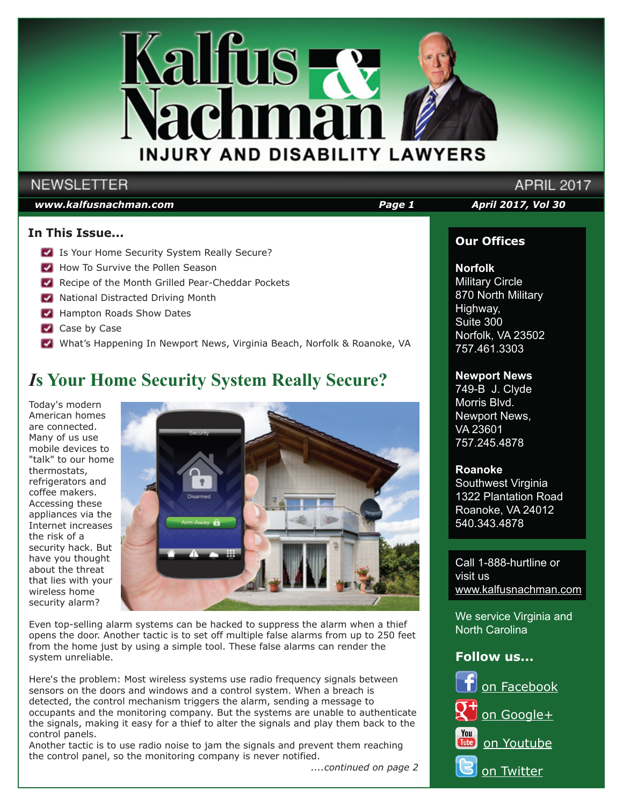

## **NEWSLETTER**

#### *www.kalfusnachman.com Page 1 April 2017, Vol 30*

#### **In This Issue...**

- Is Your Home Security System Really Secure?
- How To Survive the Pollen Season
- Recipe of the Month Grilled Pear-Cheddar Pockets
- **National Distracted Driving Month**
- **Hampton Roads Show Dates**
- Case by Case
- What's Happening In Newport News, Virginia Beach, Norfolk & Roanoke, VA

## *I***s Your Home Security System Really Secure?**

Today's modern American homes are connected. Many of us use mobile devices to "talk" to our home thermostats, refrigerators and coffee makers. Accessing these appliances via the Internet increases the risk of a security hack. But have you thought about the threat that lies with your wireless home security alarm?



Even top-selling alarm systems can be hacked to suppress the alarm when a thief opens the door. Another tactic is to set off multiple false alarms from up to 250 feet from the home just by using a simple tool. These false alarms can render the system unreliable.

Here's the problem: Most wireless systems use radio frequency signals between sensors on the doors and windows and a control system. When a breach is detected, the control mechanism triggers the alarm, sending a message to occupants and the monitoring company. But the systems are unable to authenticate the signals, making it easy for a thief to alter the signals and play them back to the control panels.

Another tactic is to use radio noise to jam the signals and prevent them reaching the control panel, so the monitoring company is never notified.

 *....continued on page 2*

**APRIL 2017** 

#### **Our Offices**

#### **Norfolk**

Military Circle 870 North Military Highway, Suite 300 Norfolk, VA 23502 757.461.3303

#### **Newport News**

749-B J. Clyde Morris Blvd. Newport News, VA 23601 757.245.4878

#### **Roanoke**

Southwest Virginia 1322 Plantation Road Roanoke, VA 24012 540.343.4878

Call 1-888-hurtline or visit us www.kalfusnachman.com

We service Virginia and North Carolina

#### **Follow us...**

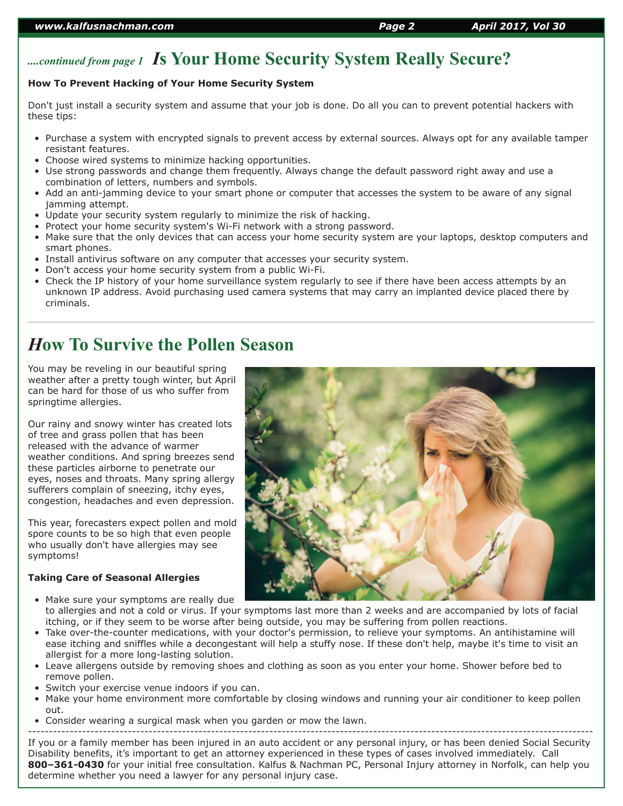## *....continued from page 1 I***s Your Home Security System Really Secure?**

#### **How To Prevent Hacking of Your Home Security System**

Don't just install a security system and assume that your job is done. Do all you can to prevent potential hackers with these tips:

- Purchase a system with encrypted signals to prevent access by external sources. Always opt for any available tamper resistant features.
- Choose wired systems to minimize hacking opportunities.
- Use strong passwords and change them frequently. Always change the default password right away and use a combination of letters, numbers and symbols.
- Add an anti-jamming device to your smart phone or computer that accesses the system to be aware of any signal jamming attempt.
- Update your security system regularly to minimize the risk of hacking.
- Protect your home security system's Wi-Fi network with a strong password.
- Make sure that the only devices that can access your home security system are your laptops, desktop computers and smart phones.
- Install antivirus software on any computer that accesses your security system.
- Don't access your home security system from a public Wi-Fi.
- Check the IP history of your home surveillance system regularly to see if there have been access attempts by an unknown IP address. Avoid purchasing used camera systems that may carry an implanted device placed there by criminals.

## *H***ow To Survive the Pollen Season**

You may be reveling in our beautiful spring weather after a pretty tough winter, but April can be hard for those of us who suffer from springtime allergies.

Our rainy and snowy winter has created lots of tree and grass pollen that has been released with the advance of warmer weather conditions. And spring breezes send these particles airborne to penetrate our eyes, noses and throats. Many spring allergy sufferers complain of sneezing, itchy eyes, congestion, headaches and even depression.

This year, forecasters expect pollen and mold spore counts to be so high that even people who usually don't have allergies may see symptoms!

#### **Taking Care of Seasonal Allergies**

- Make sure your symptoms are really due to allergies and not a cold or virus. If your symptoms last more than 2 weeks and are accompanied by lots of facial itching, or if they seem to be worse after being outside, you may be suffering from pollen reactions.
- Take over-the-counter medications, with your doctor's permission, to relieve your symptoms. An antihistamine will ease itching and sniffles while a decongestant will help a stuffy nose. If these don't help, maybe it's time to visit an allergist for a more long-lasting solution.
- Leave allergens outside by removing shoes and clothing as soon as you enter your home. Shower before bed to remove pollen.
- Switch your exercise venue indoors if you can.
- Make your home environment more comfortable by closing windows and running your air conditioner to keep pollen out.
- Consider wearing a surgical mask when you garden or mow the lawn.

---------------------------------------------------------------------------------------------------------------------------------------- If you or a family member has been injured in an auto accident or any personal injury, or has been denied Social Security Disability benefits, it's important to get an attorney experienced in these types of cases involved immediately. Call **800–361-0430** for your initial free consultation. Kalfus & Nachman PC, Personal Injury attorney in Norfolk, can help you determine whether you need a lawyer for any personal injury case.

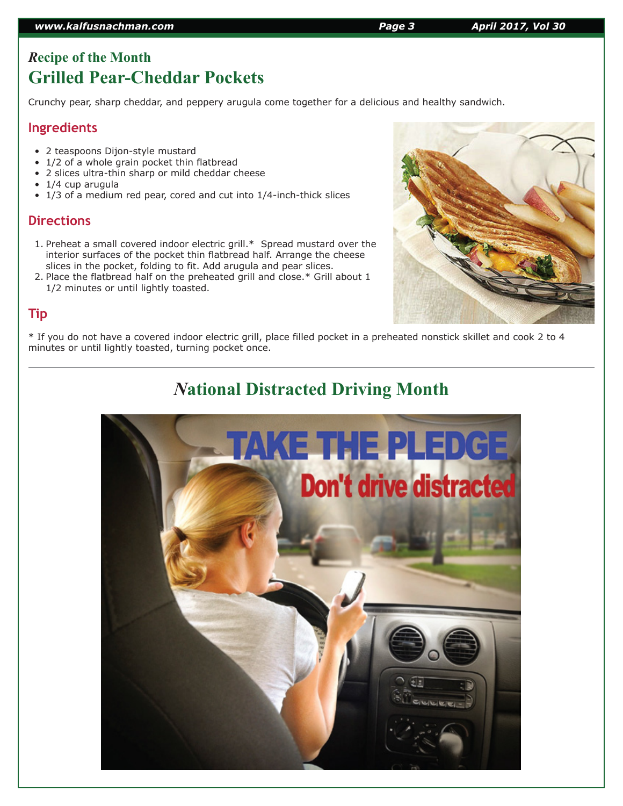## *R***ecipe of the Month Grilled Pear-Cheddar Pockets**

Crunchy pear, sharp cheddar, and peppery arugula come together for a delicious and healthy sandwich.

#### **Ingredients**

- 2 teaspoons Dijon-style mustard
- 1/2 of a whole grain pocket thin flatbread
- 2 slices ultra-thin sharp or mild cheddar cheese
- 1/4 cup arugula
- 1/3 of a medium red pear, cored and cut into 1/4-inch-thick slices

### **Directions**

- 1. Preheat a small covered indoor electric grill.\* Spread mustard over the interior surfaces of the pocket thin flatbread half. Arrange the cheese slices in the pocket, folding to fit. Add arugula and pear slices.
- 2. Place the flatbread half on the preheated grill and close.\* Grill about 1 1/2 minutes or until lightly toasted.

## **Tip**

\* If you do not have a covered indoor electric grill, place filled pocket in a preheated nonstick skillet and cook 2 to 4 minutes or until lightly toasted, turning pocket once.

# *N***ational Distracted Driving Month**





#### *www.kalfusnachman.com Page 3 April 2017, Vol 30*